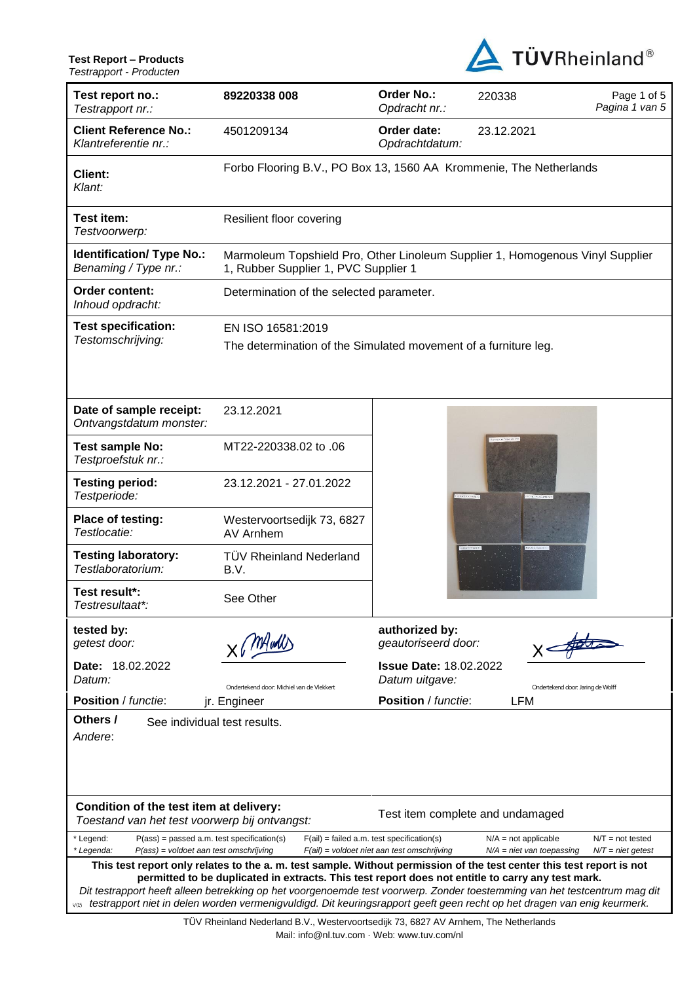**Test Report – Products** *Testrapport - Producten*



| Test report no.:<br>Testrapport nr.:                                                                                                                                                                                                                                                                                                                                                                                                                                                   | 89220338 008                                                                                                          | Order No.:<br>Opdracht nr.:                     | 220338                            | Page 1 of 5<br>Pagina 1 van 5 |  |  |
|----------------------------------------------------------------------------------------------------------------------------------------------------------------------------------------------------------------------------------------------------------------------------------------------------------------------------------------------------------------------------------------------------------------------------------------------------------------------------------------|-----------------------------------------------------------------------------------------------------------------------|-------------------------------------------------|-----------------------------------|-------------------------------|--|--|
| <b>Client Reference No.:</b><br>Klantreferentie nr.:                                                                                                                                                                                                                                                                                                                                                                                                                                   | 4501209134                                                                                                            | Order date:<br>Opdrachtdatum:                   | 23.12.2021                        |                               |  |  |
| <b>Client:</b><br>Klant:                                                                                                                                                                                                                                                                                                                                                                                                                                                               | Forbo Flooring B.V., PO Box 13, 1560 AA Krommenie, The Netherlands                                                    |                                                 |                                   |                               |  |  |
| Test item:<br>Testvoorwerp:                                                                                                                                                                                                                                                                                                                                                                                                                                                            | Resilient floor covering                                                                                              |                                                 |                                   |                               |  |  |
| <b>Identification/ Type No.:</b><br>Benaming / Type nr.:                                                                                                                                                                                                                                                                                                                                                                                                                               | Marmoleum Topshield Pro, Other Linoleum Supplier 1, Homogenous Vinyl Supplier<br>1, Rubber Supplier 1, PVC Supplier 1 |                                                 |                                   |                               |  |  |
| Order content:<br>Inhoud opdracht:                                                                                                                                                                                                                                                                                                                                                                                                                                                     | Determination of the selected parameter.                                                                              |                                                 |                                   |                               |  |  |
| <b>Test specification:</b>                                                                                                                                                                                                                                                                                                                                                                                                                                                             | EN ISO 16581:2019                                                                                                     |                                                 |                                   |                               |  |  |
| Testomschrijving:                                                                                                                                                                                                                                                                                                                                                                                                                                                                      | The determination of the Simulated movement of a furniture leg.                                                       |                                                 |                                   |                               |  |  |
|                                                                                                                                                                                                                                                                                                                                                                                                                                                                                        |                                                                                                                       |                                                 |                                   |                               |  |  |
| Date of sample receipt:<br>Ontvangstdatum monster:                                                                                                                                                                                                                                                                                                                                                                                                                                     | 23.12.2021                                                                                                            |                                                 |                                   |                               |  |  |
| <b>Test sample No:</b><br>Testproefstuk nr.:                                                                                                                                                                                                                                                                                                                                                                                                                                           | MT22-220338.02 to .06                                                                                                 |                                                 |                                   |                               |  |  |
| <b>Testing period:</b><br>Testperiode:                                                                                                                                                                                                                                                                                                                                                                                                                                                 | 23.12.2021 - 27.01.2022                                                                                               |                                                 |                                   |                               |  |  |
| Place of testing:<br>Testlocatie:                                                                                                                                                                                                                                                                                                                                                                                                                                                      | Westervoortsedijk 73, 6827<br>AV Arnhem                                                                               |                                                 |                                   |                               |  |  |
| <b>Testing laboratory:</b><br>Testlaboratorium:                                                                                                                                                                                                                                                                                                                                                                                                                                        | <b>TÜV Rheinland Nederland</b><br>B.V.                                                                                |                                                 |                                   |                               |  |  |
| Test result*:<br>Testresultaat*:                                                                                                                                                                                                                                                                                                                                                                                                                                                       | See Other                                                                                                             |                                                 |                                   |                               |  |  |
| tested by:<br>getest door:                                                                                                                                                                                                                                                                                                                                                                                                                                                             | X ( MHadd                                                                                                             | authorized by:<br>geautoriseerd door:           |                                   |                               |  |  |
| Date: 18.02.2022<br>Datum:                                                                                                                                                                                                                                                                                                                                                                                                                                                             | Ondertekend door: Michiel van de Vlekkert                                                                             | <b>Issue Date: 18.02.2022</b><br>Datum uitgave: | Ondertekend door: Jaring de Wolff |                               |  |  |
| Position / functie:                                                                                                                                                                                                                                                                                                                                                                                                                                                                    | jr. Engineer                                                                                                          | <b>Position</b> / functie:                      | <b>LFM</b>                        |                               |  |  |
| Others /<br>See individual test results.<br>Andere:                                                                                                                                                                                                                                                                                                                                                                                                                                    |                                                                                                                       |                                                 |                                   |                               |  |  |
| Condition of the test item at delivery:<br>Test item complete and undamaged<br>Toestand van het test voorwerp bij ontvangst:                                                                                                                                                                                                                                                                                                                                                           |                                                                                                                       |                                                 |                                   |                               |  |  |
| $P(ass) = passed a.m. test specification(s)$<br>* Legend:                                                                                                                                                                                                                                                                                                                                                                                                                              |                                                                                                                       | $F(ai)$ = failed a.m. test specification(s)     | $N/A = not applicable$            | $N/T = not tested$            |  |  |
| * Legenda:<br>$P(ass) =$ voldoet aan test omschrijving                                                                                                                                                                                                                                                                                                                                                                                                                                 |                                                                                                                       | $F(ai)$ = voldoet niet aan test omschrijving    | $N/A$ = niet van toepassing       | $N/T$ = niet getest           |  |  |
| This test report only relates to the a. m. test sample. Without permission of the test center this test report is not<br>permitted to be duplicated in extracts. This test report does not entitle to carry any test mark.<br>Dit testrapport heeft alleen betrekking op het voorgenoemde test voorwerp. Zonder toestemming van het testcentrum mag dit<br>vos testrapport niet in delen worden vermenigvuldigd. Dit keuringsrapport geeft geen recht op het dragen van enig keurmerk. |                                                                                                                       |                                                 |                                   |                               |  |  |

TÜV Rheinland Nederland B.V., Westervoortsedijk 73, 6827 AV Arnhem, The Netherlands Mail: info@nl.tuv.com · Web: www.tuv.com/nl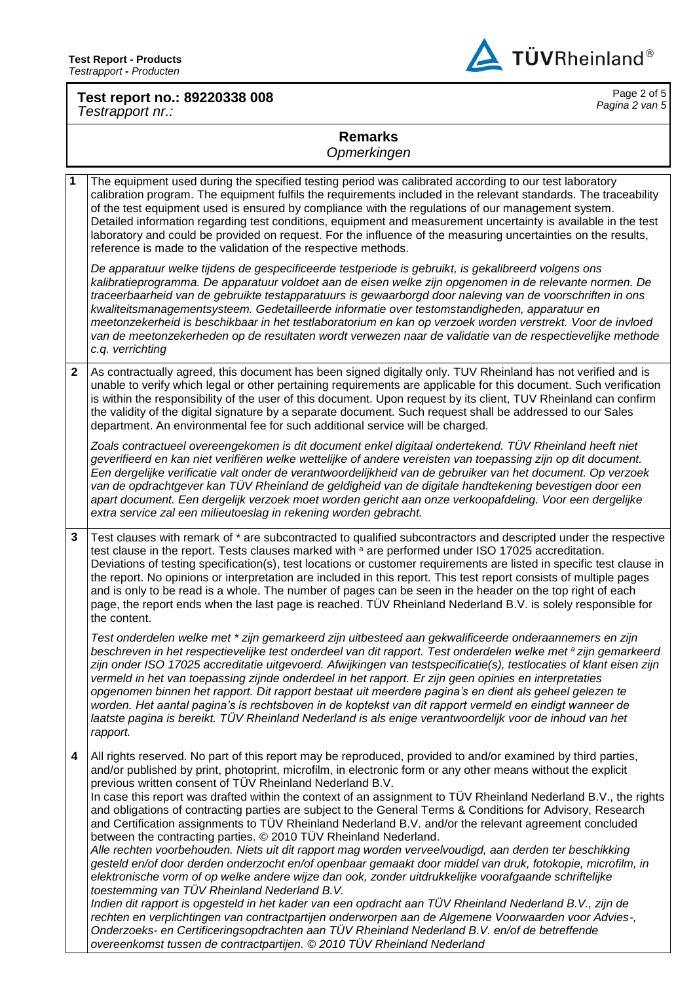

## **Test report no.: 89220338 008** *Testrapport nr.:*

Page 2 of 5 *Pagina 2 van 5*

## **Remarks**

*Opmerkingen*

**1** The equipment used during the specified testing period was calibrated according to our test laboratory calibration program. The equipment fulfils the requirements included in the relevant standards. The traceability of the test equipment used is ensured by compliance with the regulations of our management system. Detailed information regarding test conditions, equipment and measurement uncertainty is available in the test laboratory and could be provided on request. For the influence of the measuring uncertainties on the results, reference is made to the validation of the respective methods. *De apparatuur welke tijdens de gespecificeerde testperiode is gebruikt, is gekalibreerd volgens ons kalibratieprogramma. De apparatuur voldoet aan de eisen welke zijn opgenomen in de relevante normen. De traceerbaarheid van de gebruikte testapparatuurs is gewaarborgd door naleving van de voorschriften in ons kwaliteitsmanagementsysteem. Gedetailleerde informatie over testomstandigheden, apparatuur en meetonzekerheid is beschikbaar in het testlaboratorium en kan op verzoek worden verstrekt. Voor de invloed van de meetonzekerheden op de resultaten wordt verwezen naar de validatie van de respectievelijke methode c.q. verrichting* **2** As contractually agreed, this document has been signed digitally only. TUV Rheinland has not verified and is unable to verify which legal or other pertaining requirements are applicable for this document. Such verification is within the responsibility of the user of this document. Upon request by its client, TUV Rheinland can confirm the validity of the digital signature by a separate document. Such request shall be addressed to our Sales department. An environmental fee for such additional service will be charged. Zoals contractueel overeengekomen is dit document enkel digitaal ondertekend. TÜV Rheinland heeft niet *geverifieerd en kan niet verifiëren welke wettelijke of andere vereisten van toepassing zijn op dit document. Een dergelijke verificatie valt onder de verantwoordelijkheid van de gebruiker van het document. Op verzoek van de opdrachtgever kan TÜV Rheinland de geldigheid van de digitale handtekening bevestigen door een apart document. Een dergelijk verzoek moet worden gericht aan onze verkoopafdeling. Voor een dergelijke extra service zal een milieutoeslag in rekening worden gebracht.* **3** Test clauses with remark of \* are subcontracted to qualified subcontractors and descripted under the respective test clause in the report. Tests clauses marked with a are performed under ISO 17025 accreditation. Deviations of testing specification(s), test locations or customer requirements are listed in specific test clause in the report. No opinions or interpretation are included in this report. This test report consists of multiple pages and is only to be read is a whole. The number of pages can be seen in the header on the top right of each page, the report ends when the last page is reached. TÜV Rheinland Nederland B.V. is solely responsible for the content. *Test onderdelen welke met \* zijn gemarkeerd zijn uitbesteed aan gekwalificeerde onderaannemers en zijn beschreven in het respectievelijke test onderdeel van dit rapport. Test onderdelen welke met <sup>a</sup> zijn gemarkeerd zijn onder ISO 17025 accreditatie uitgevoerd. Afwijkingen van testspecificatie(s), testlocaties of klant eisen zijn vermeld in het van toepassing zijnde onderdeel in het rapport. Er zijn geen opinies en interpretaties opgenomen binnen het rapport. Dit rapport bestaat uit meerdere pagina's en dient als geheel gelezen te worden. Het aantal pagina's is rechtsboven in de koptekst van dit rapport vermeld en eindigt wanneer de laatste pagina is bereikt. TÜV Rheinland Nederland is als enige verantwoordelijk voor de inhoud van het rapport.* **4** All rights reserved. No part of this report may be reproduced, provided to and/or examined by third parties, and/or published by print, photoprint, microfilm, in electronic form or any other means without the explicit previous written consent of TÜV Rheinland Nederland B.V. In case this report was drafted within the context of an assignment to TÜV Rheinland Nederland B.V., the rights and obligations of contracting parties are subject to the General Terms & Conditions for Advisory, Research and Certification assignments to TÜV Rheinland Nederland B.V. and/or the relevant agreement concluded between the contracting parties. © 2010 TÜV Rheinland Nederland. *Alle rechten voorbehouden. Niets uit dit rapport mag worden verveelvoudigd, aan derden ter beschikking gesteld en/of door derden onderzocht en/of openbaar gemaakt door middel van druk, fotokopie, microfilm, in elektronische vorm of op welke andere wijze dan ook, zonder uitdrukkelijke voorafgaande schriftelijke toestemming van TÜV Rheinland Nederland B.V. Indien dit rapport is opgesteld in het kader van een opdracht aan TÜV Rheinland Nederland B.V., zijn de rechten en verplichtingen van contractpartijen onderworpen aan de Algemene Voorwaarden voor Advies-, Onderzoeks- en Certificeringsopdrachten aan TÜV Rheinland Nederland B.V. en/of de betreffende overeenkomst tussen de contractpartijen. © 2010 TÜV Rheinland Nederland*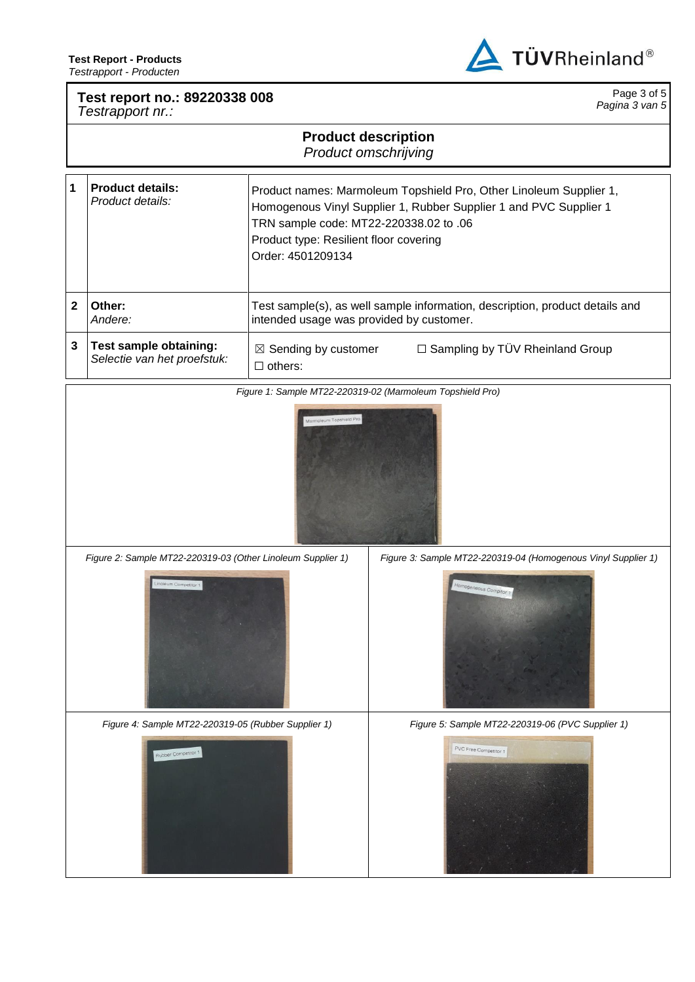

Page 3 of 5 *Pagina 3 van 5*

## **Test report no.: 89220338 008**

*Testrapport nr.:*

## **Product description**

*Product omschrijving*

| 1 | <b>Product details:</b><br>Product details:           | Product names: Marmoleum Topshield Pro, Other Linoleum Supplier 1,<br>Homogenous Vinyl Supplier 1, Rubber Supplier 1 and PVC Supplier 1<br>TRN sample code: MT22-220338.02 to .06<br>Product type: Resilient floor covering<br>Order: 4501209134 |  |
|---|-------------------------------------------------------|--------------------------------------------------------------------------------------------------------------------------------------------------------------------------------------------------------------------------------------------------|--|
|   | Other:<br>Andere:                                     | Test sample(s), as well sample information, description, product details and<br>intended usage was provided by customer.                                                                                                                         |  |
| 3 | Test sample obtaining:<br>Selectie van het proefstuk: | □ Sampling by TÜV Rheinland Group<br>$\boxtimes$ Sending by customer<br>$\Box$ others:                                                                                                                                                           |  |

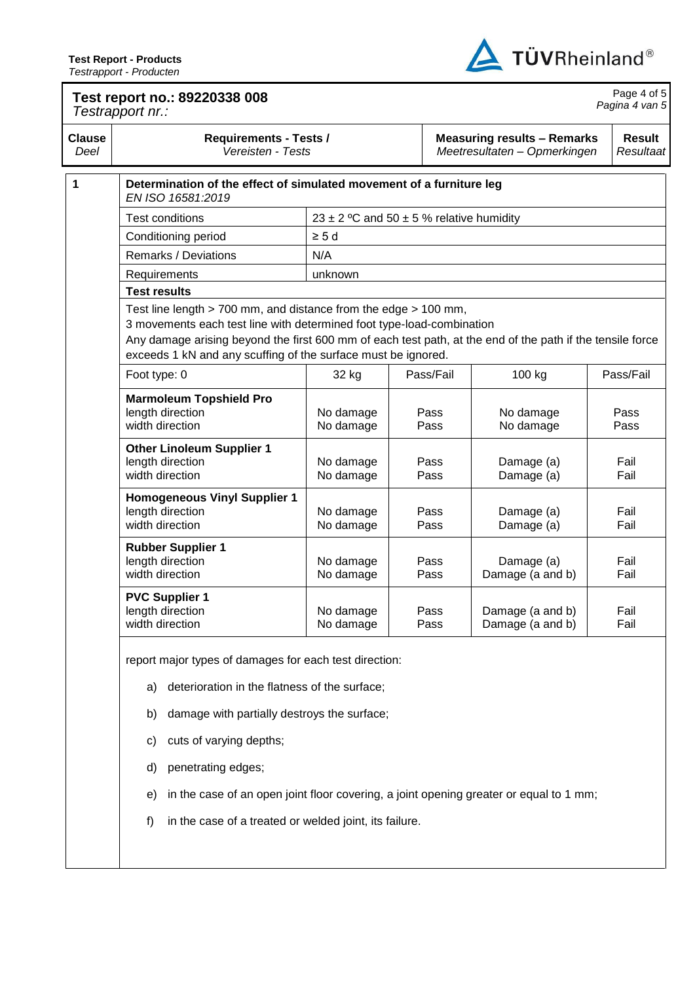

| <b>Clause</b><br>Deel | <b>Requirements - Tests /</b><br>Vereisten - Tests                                                                                                                                                                                                                                                                     |                                          |              | <b>Measuring results - Remarks</b><br>Meetresultaten - Opmerkingen | <b>Result</b><br>Resultaat |  |  |
|-----------------------|------------------------------------------------------------------------------------------------------------------------------------------------------------------------------------------------------------------------------------------------------------------------------------------------------------------------|------------------------------------------|--------------|--------------------------------------------------------------------|----------------------------|--|--|
| 1                     | Determination of the effect of simulated movement of a furniture leg<br>EN ISO 16581:2019                                                                                                                                                                                                                              |                                          |              |                                                                    |                            |  |  |
|                       | <b>Test conditions</b>                                                                                                                                                                                                                                                                                                 | 23 ± 2 °C and 50 ± 5 % relative humidity |              |                                                                    |                            |  |  |
|                       | Conditioning period                                                                                                                                                                                                                                                                                                    | $\geq 5d$                                |              |                                                                    |                            |  |  |
|                       | N/A<br>Remarks / Deviations                                                                                                                                                                                                                                                                                            |                                          |              |                                                                    |                            |  |  |
|                       | Requirements                                                                                                                                                                                                                                                                                                           | unknown                                  |              |                                                                    |                            |  |  |
|                       | <b>Test results</b>                                                                                                                                                                                                                                                                                                    |                                          |              |                                                                    |                            |  |  |
|                       | Test line length > 700 mm, and distance from the edge > 100 mm,<br>3 movements each test line with determined foot type-load-combination<br>Any damage arising beyond the first 600 mm of each test path, at the end of the path if the tensile force<br>exceeds 1 kN and any scuffing of the surface must be ignored. |                                          |              |                                                                    |                            |  |  |
|                       | Foot type: 0                                                                                                                                                                                                                                                                                                           | 32 kg                                    | Pass/Fail    | 100 kg                                                             | Pass/Fail                  |  |  |
|                       | <b>Marmoleum Topshield Pro</b><br>length direction<br>width direction                                                                                                                                                                                                                                                  | No damage<br>No damage                   | Pass<br>Pass | No damage<br>No damage                                             | Pass<br>Pass               |  |  |
|                       | <b>Other Linoleum Supplier 1</b><br>length direction<br>width direction                                                                                                                                                                                                                                                | No damage<br>No damage                   | Pass<br>Pass | Damage (a)<br>Damage (a)                                           | Fail<br>Fail               |  |  |
|                       | <b>Homogeneous Vinyl Supplier 1</b><br>length direction<br>width direction                                                                                                                                                                                                                                             | No damage<br>No damage                   | Pass<br>Pass | Damage (a)<br>Damage (a)                                           | Fail<br>Fail               |  |  |
|                       | <b>Rubber Supplier 1</b><br>length direction<br>width direction                                                                                                                                                                                                                                                        | No damage<br>No damage                   | Pass<br>Pass | Damage (a)<br>Damage (a and b)                                     | Fail<br>Fail               |  |  |
|                       | <b>PVC Supplier 1</b><br>length direction<br>width direction                                                                                                                                                                                                                                                           | No damage<br>No damage                   | Pass<br>Pass | Damage (a and b)<br>Damage (a and b)                               | Fail<br>Fail               |  |  |
|                       | report major types of damages for each test direction:<br>deterioration in the flatness of the surface;<br>a)                                                                                                                                                                                                          |                                          |              |                                                                    |                            |  |  |
|                       | damage with partially destroys the surface;<br>b)                                                                                                                                                                                                                                                                      |                                          |              |                                                                    |                            |  |  |
|                       | cuts of varying depths;<br>C)                                                                                                                                                                                                                                                                                          |                                          |              |                                                                    |                            |  |  |
|                       | penetrating edges;<br>d)                                                                                                                                                                                                                                                                                               |                                          |              |                                                                    |                            |  |  |
|                       | in the case of an open joint floor covering, a joint opening greater or equal to 1 mm;<br>e)                                                                                                                                                                                                                           |                                          |              |                                                                    |                            |  |  |
|                       | in the case of a treated or welded joint, its failure.<br>f)                                                                                                                                                                                                                                                           |                                          |              |                                                                    |                            |  |  |